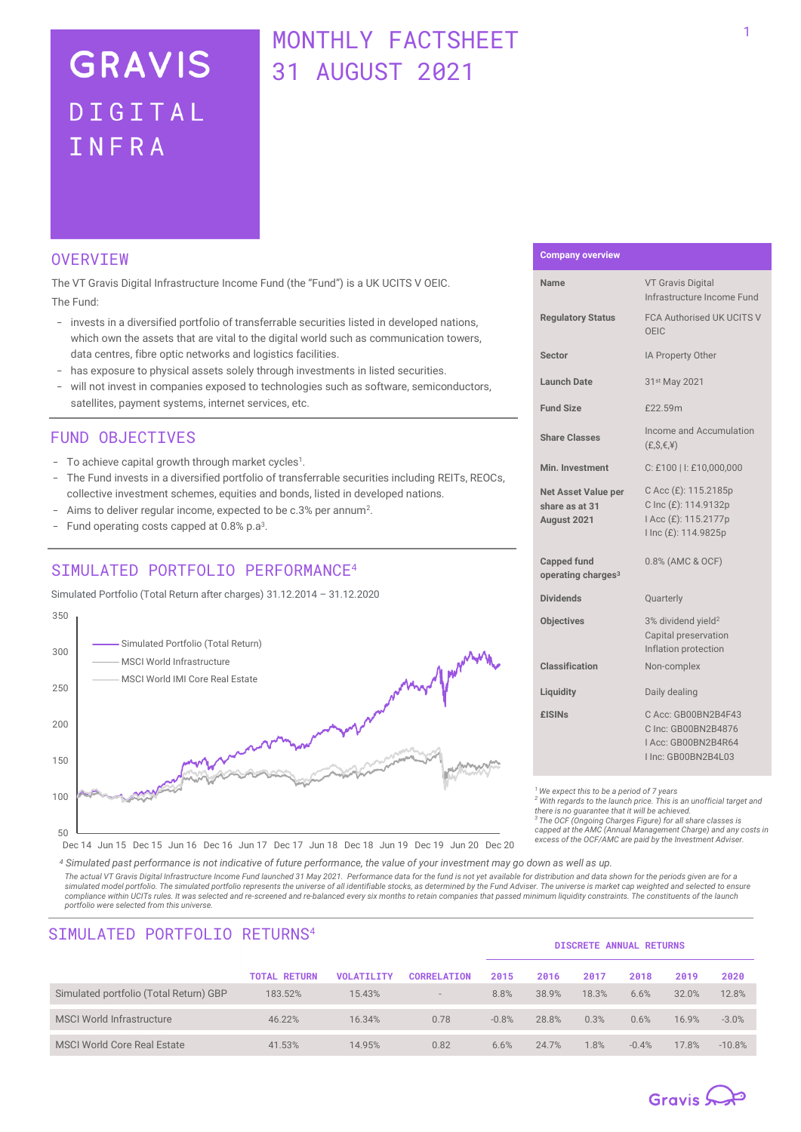# **GRAVIS** DIGITAL INFRA

# MONTHI Y FACTSHEFT 31 AUGUST 2021

## **OVERVTEW**

The VT Gravis Digital Infrastructure Income Fund (the "Fund") is a UK UCITS V OEIC. The Fund:

- invests in a diversified portfolio of transferrable securities listed in developed nations, which own the assets that are vital to the digital world such as communication towers, data centres, fibre optic networks and logistics facilities.
- has exposure to physical assets solely through investments in listed securities.
- will not invest in companies exposed to technologies such as software, semiconductors, satellites, payment systems, internet services, etc.

### FUND OBJECTIVES

- To achieve capital growth through market cycles<sup>1</sup>.
- The Fund invests in a diversified portfolio of transferrable securities including REITs, REOCs, collective investment schemes, equities and bonds, listed in developed nations.
- Aims to deliver regular income, expected to be c.3% per annum<sup>2</sup>.
- Fund operating costs capped at  $0.8\%$  p.a<sup>3</sup>.

# STMULATED PORTFOLIO PERFORMANCE<sup>4</sup>

Simulated Portfolio (Total Return after charges) 31.12.2014 – 31.12.2020



### **Company overview**

| <b>Name</b>                                                 | <b>VT Gravis Digital</b><br>Infrastructure Income Fund                                       |  |  |  |  |
|-------------------------------------------------------------|----------------------------------------------------------------------------------------------|--|--|--|--|
| <b>Regulatory Status</b>                                    | <b>FCA Authorised UK UCITS V</b><br>OEIC                                                     |  |  |  |  |
| Sector                                                      | IA Property Other                                                                            |  |  |  |  |
| Launch Date                                                 | 31st May 2021                                                                                |  |  |  |  |
| <b>Fund Size</b>                                            | £22.59m                                                                                      |  |  |  |  |
| <b>Share Classes</b>                                        | Income and Accumulation<br>$(E, S, \epsilon, 4)$                                             |  |  |  |  |
| Min. Investment                                             | C: £100   I: £10,000,000                                                                     |  |  |  |  |
| <b>Net Asset Value per</b><br>share as at 31<br>August 2021 | C Acc (£): 115.2185p<br>C Inc (£): 114.9132p<br>I Acc (£): 115.2177p<br>I Inc (£): 114.9825p |  |  |  |  |
| <b>Capped fund</b><br>operating charges <sup>3</sup>        | 0.8% (AMC & OCF)                                                                             |  |  |  |  |
| <b>Dividends</b>                                            | Quarterly                                                                                    |  |  |  |  |
| <b>Objectives</b>                                           | 3% dividend yield <sup>2</sup><br>Capital preservation<br>Inflation protection               |  |  |  |  |
| Classification                                              | Non-complex                                                                                  |  |  |  |  |
| Liquidity                                                   | Daily dealing                                                                                |  |  |  |  |
| <b>£ISINs</b>                                               | C Acc: GB00BN2B4F43<br>C Inc: GB00BN2B4876<br>Acc: GB00BN2B4R64<br>I Inc: GB00BN2B4L03       |  |  |  |  |

*<sup>1</sup>We expect this to be a period of 7 years*

*<sup>2</sup> With regards to the launch price. This is an unofficial target and there is no guarantee that it will be achieved.*

*<sup>3</sup> The OCF (Ongoing Charges Figure) for all share classes is capped at the AMC (Annual Management Charge) and any costs in excess of the OCF/AMC are paid by the Investment Adviser.*

Dec 14 Jun 15 Dec 15 Jun 16 Dec 16 Jun 17 Dec 17 Jun 18 Dec 18 Jun 19 Dec 19 Jun 20 Dec 20

*<sup>4</sup> Simulated past performance is not indicative of future performance, the value of your investment may go down as well as up. The actual VT Gravis Digital Infrastructure Income Fund launched 31 May 2021. Performance data for the fund is not yet available for distribution and data shown for the periods given are for a*  simulated model portfolio. The simulated portfolio represents the universe of all identifiable stocks, as determined by the Fund Adviser. The universe is market cap weighted and selected to ensure *compliance within UCITs rules. It was selected and re-screened and re-balanced every six months to retain companies that passed minimum liquidity constraints. The constituents of the launch portfolio were selected from this universe.*

| SIMULATED PURTFULIU RETURNS <sup>-</sup> |                     |                   |                          | <b>DISCRETE ANNUAL RETURNS</b> |       |       |         |       |          |  |  |
|------------------------------------------|---------------------|-------------------|--------------------------|--------------------------------|-------|-------|---------|-------|----------|--|--|
|                                          | <b>TOTAL RETURN</b> | <b>VOLATILITY</b> | <b>CORRELATION</b>       | 2015                           | 2016  | 2017  | 2018    | 2019  | 2020     |  |  |
| Simulated portfolio (Total Return) GBP   | 183.52%             | 15.43%            | $\overline{\phantom{a}}$ | 8.8%                           | 38.9% | 18.3% | 6.6%    | 32.0% | 12.8%    |  |  |
| <b>MSCI World Infrastructure</b>         | 46.22%              | 16.34%            | 0.78                     | $-0.8%$                        | 28.8% | 0.3%  | 0.6%    | 16.9% | $-3.0%$  |  |  |
| <b>MSCI World Core Real Estate</b>       | 41.53%              | 14.95%            | 0.82                     | 6.6%                           | 24.7% | 1.8%  | $-0.4%$ | 17.8% | $-10.8%$ |  |  |

# TMULATED DODTEOLIO RETURNOA

# Gravis  $\mathbb{Q}$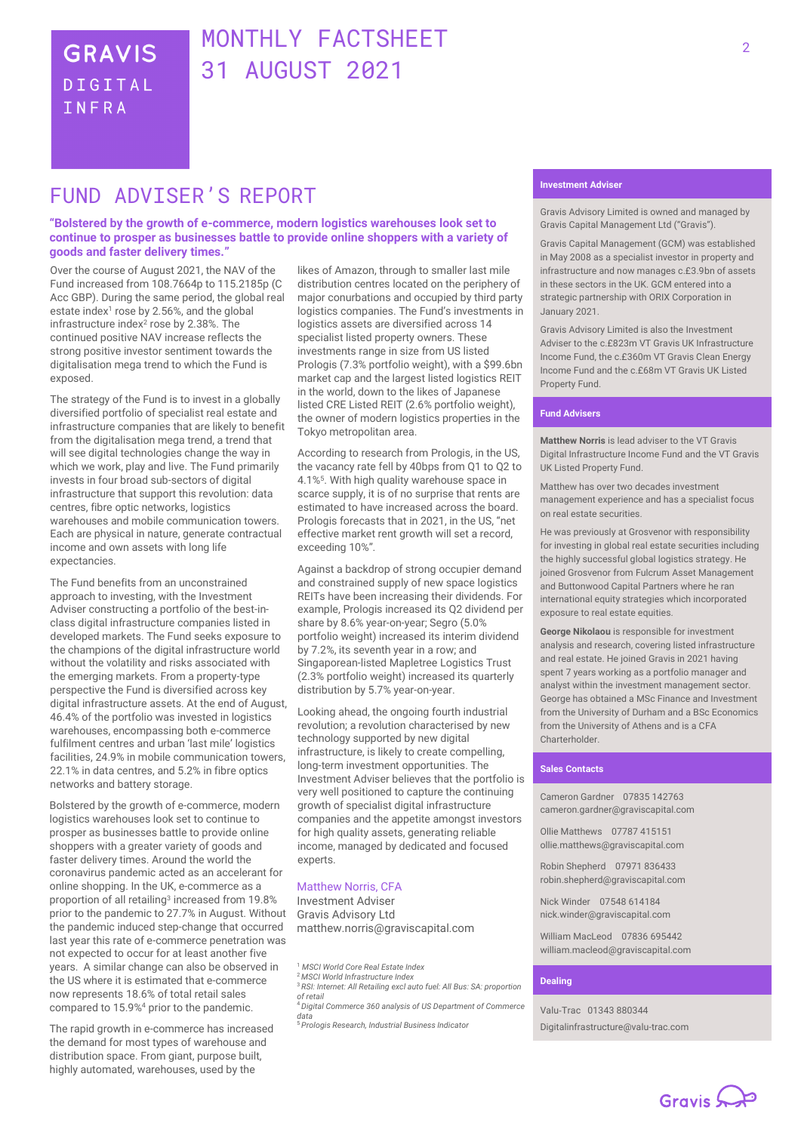# MONTHLY FACTSHEET 31 AUGUST 2021

# FUND ADVTSFR'S REPORT

#### **"Bolstered by the growth of e-commerce, modern logistics warehouses look set to continue to prosper as businesses battle to provide online shoppers with a variety of goods and faster delivery times."**

Over the course of August 2021, the NAV of the Fund increased from 108.7664p to 115.2185p (C Acc GBP). During the same period, the global real estate index<sup>1</sup> rose by 2.56%, and the global infrastructure index<sup>2</sup> rose by 2.38%. The continued positive NAV increase reflects the strong positive investor sentiment towards the digitalisation mega trend to which the Fund is exposed.

The strategy of the Fund is to invest in a globally diversified portfolio of specialist real estate and infrastructure companies that are likely to benefit from the digitalisation mega trend, a trend that will see digital technologies change the way in which we work, play and live. The Fund primarily invests in four broad sub-sectors of digital infrastructure that support this revolution: data centres, fibre optic networks, logistics warehouses and mobile communication towers. Each are physical in nature, generate contractual income and own assets with long life expectancies.

The Fund benefits from an unconstrained approach to investing, with the Investment Adviser constructing a portfolio of the best-inclass digital infrastructure companies listed in developed markets. The Fund seeks exposure to the champions of the digital infrastructure world without the volatility and risks associated with the emerging markets. From a property-type perspective the Fund is diversified across key digital infrastructure assets. At the end of August, 46.4% of the portfolio was invested in logistics warehouses, encompassing both e-commerce fulfilment centres and urban 'last mile' logistics facilities, 24.9% in mobile communication towers, 22.1% in data centres, and 5.2% in fibre optics networks and battery storage.

Bolstered by the growth of e-commerce, modern logistics warehouses look set to continue to prosper as businesses battle to provide online shoppers with a greater variety of goods and faster delivery times. Around the world the coronavirus pandemic acted as an accelerant for online shopping. In the UK, e-commerce as a proportion of all retailing<sup>3</sup> increased from 19.8% prior to the pandemic to 27.7% in August. Without the pandemic induced step-change that occurred last year this rate of e-commerce penetration was not expected to occur for at least another five years. A similar change can also be observed in the US where it is estimated that e-commerce now represents 18.6% of total retail sales compared to 15.9%<sup>4</sup> prior to the pandemic.

The rapid growth in e-commerce has increased the demand for most types of warehouse and distribution space. From giant, purpose built, highly automated, warehouses, used by the

likes of Amazon, through to smaller last mile distribution centres located on the periphery of major conurbations and occupied by third party logistics companies. The Fund's investments in logistics assets are diversified across 14 specialist listed property owners. These investments range in size from US listed Prologis (7.3% portfolio weight), with a \$99.6bn market cap and the largest listed logistics REIT in the world, down to the likes of Japanese listed CRE Listed REIT (2.6% portfolio weight), the owner of modern logistics properties in the Tokyo metropolitan area.

According to research from Prologis, in the US, the vacancy rate fell by 40bps from Q1 to Q2 to 4.1%<sup>5</sup> . With high quality warehouse space in scarce supply, it is of no surprise that rents are estimated to have increased across the board. Prologis forecasts that in 2021, in the US, "net effective market rent growth will set a record, exceeding 10%".

Against a backdrop of strong occupier demand and constrained supply of new space logistics REITs have been increasing their dividends. For example, Prologis increased its Q2 dividend per share by 8.6% year-on-year; Segro (5.0% portfolio weight) increased its interim dividend by 7.2%, its seventh year in a row; and Singaporean-listed Mapletree Logistics Trust (2.3% portfolio weight) increased its quarterly distribution by 5.7% year-on-year.

Looking ahead, the ongoing fourth industrial revolution; a revolution characterised by new technology supported by new digital infrastructure, is likely to create compelling, long-term investment opportunities. The Investment Adviser believes that the portfolio is very well positioned to capture the continuing growth of specialist digital infrastructure companies and the appetite amongst investors for high quality assets, generating reliable income, managed by dedicated and focused experts.

#### Matthew Norris, CFA

Investment Adviser Gravis Advisory Ltd matthew.norris@graviscapital.com

<sup>1</sup> *MSCI World Core Real Estate Index* <sup>2</sup> *MSCI World Infrastructure Index*

- <sup>3</sup> *RSI: Internet: All Retailing excl auto fuel: All Bus: SA: proportion of retail*
- <sup>4</sup> *Digital Commerce 360 analysis of US Department of Commerce*

*data* <sup>5</sup> *Prologis Research, Industrial Business Indicator*

Gravis Advisory Limited is owned and managed by Gravis Capital Management Ltd ("Gravis").

Gravis Capital Management (GCM) was established in May 2008 as a specialist investor in property and infrastructure and now manages c.£3.9bn of assets in these sectors in the UK. GCM entered into a strategic partnership with ORIX Corporation in January 2021.

Gravis Advisory Limited is also the Investment Adviser to the c.£823m VT Gravis UK Infrastructure Income Fund, the c.£360m VT Gravis Clean Energy Income Fund and the c.£68m VT Gravis UK Listed Property Fund.

#### **Fund Advisers**

**Matthew Norris** is lead adviser to the VT Gravis Digital Infrastructure Income Fund and the VT Gravis UK Listed Property Fund.

Matthew has over two decades investment management experience and has a specialist focus on real estate securities.

He was previously at Grosvenor with responsibility for investing in global real estate securities including the highly successful global logistics strategy. He joined Grosvenor from Fulcrum Asset Management and Buttonwood Capital Partners where he ran international equity strategies which incorporated exposure to real estate equities.

**George Nikolaou** is responsible for investment analysis and research, covering listed infrastructure and real estate. He joined Gravis in 2021 having spent 7 years working as a portfolio manager and analyst within the investment management sector. George has obtained a MSc Finance and Investment from the University of Durham and a BSc Economics from the University of Athens and is a CFA Charterholder.

#### **Sales Contacts**

Cameron Gardner 07835 142763 cameron.gardner@graviscapital.com

Ollie Matthews 07787 415151 [ollie.matthews@graviscapital.com](mailto:ollie.matthews@graviscapital.com)

Robin Shepherd 07971 836433 [robin.shepherd@graviscapital.com](mailto:robin.shepherd@graviscapital.com)

Nick Winder [07548 614184](tel:07548%20614184) nick.winder@graviscapital.com

William MacLeod 07836 695442 [william.macleod@graviscapital.com](mailto:william.macleod@graviscapital.com)

#### **Dealing**

Valu‑Trac 01343 880344 Digitalinfrastructure@valu-trac.com